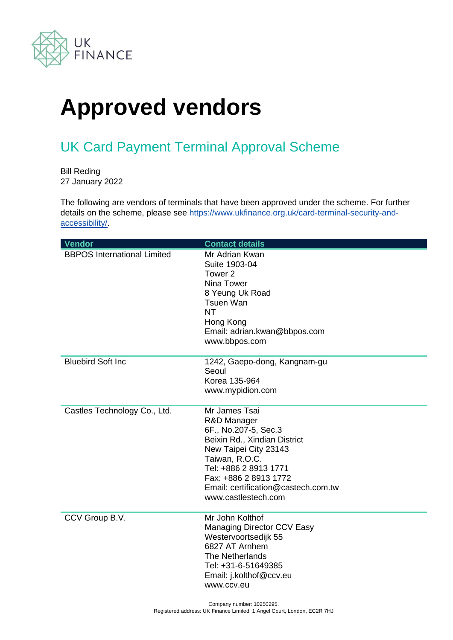

## **Approved vendors**

## UK Card Payment Terminal Approval Scheme

Bill Reding 27 January 2022

The following are vendors of terminals that have been approved under the scheme. For further details on the scheme, please see [https://www.ukfinance.org.uk/card-terminal-security-and](https://www.ukfinance.org.uk/card-terminal-security-and-accessibility/)[accessibility/.](https://www.ukfinance.org.uk/card-terminal-security-and-accessibility/)

| Vendor                             | <b>Contact details</b>                                                                                                                                                                                                                          |
|------------------------------------|-------------------------------------------------------------------------------------------------------------------------------------------------------------------------------------------------------------------------------------------------|
| <b>BBPOS International Limited</b> | Mr Adrian Kwan<br>Suite 1903-04<br>Tower 2<br>Nina Tower<br>8 Yeung Uk Road<br><b>Tsuen Wan</b><br><b>NT</b><br>Hong Kong<br>Email: adrian.kwan@bbpos.com<br>www.bbpos.com                                                                      |
| <b>Bluebird Soft Inc</b>           | 1242, Gaepo-dong, Kangnam-gu<br>Seoul<br>Korea 135-964<br>www.mypidion.com                                                                                                                                                                      |
| Castles Technology Co., Ltd.       | Mr James Tsai<br>R&D Manager<br>6F., No.207-5, Sec.3<br>Beixin Rd., Xindian District<br>New Taipei City 23143<br>Taiwan, R.O.C.<br>Tel: +886 2 8913 1771<br>Fax: +886 2 8913 1772<br>Email: certification@castech.com.tw<br>www.castlestech.com |
| CCV Group B.V.                     | Mr John Kolthof<br><b>Managing Director CCV Easy</b><br>Westervoortsedijk 55<br>6827 AT Arnhem<br>The Netherlands<br>Tel: +31-6-51649385<br>Email: j.kolthof@ccv.eu<br>www.ccv.eu                                                               |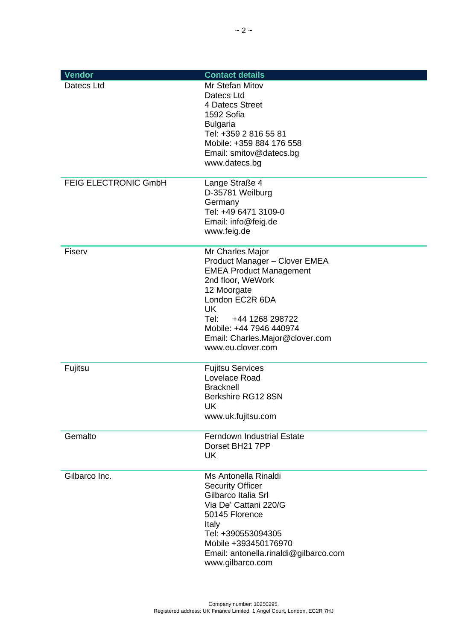| Vendor                      | <b>Contact details</b>                                                                                                                                                                                                                                                |
|-----------------------------|-----------------------------------------------------------------------------------------------------------------------------------------------------------------------------------------------------------------------------------------------------------------------|
| Datecs Ltd                  | Mr Stefan Mitov<br>Datecs Ltd<br>4 Datecs Street<br>1592 Sofia<br><b>Bulgaria</b><br>Tel: +359 2 816 55 81<br>Mobile: +359 884 176 558<br>Email: smitov@datecs.bg<br>www.datecs.bg                                                                                    |
| <b>FEIG ELECTRONIC GmbH</b> | Lange Straße 4<br>D-35781 Weilburg<br>Germany<br>Tel: +49 6471 3109-0<br>Email: info@feig.de<br>www.feig.de                                                                                                                                                           |
| Fiserv                      | Mr Charles Major<br>Product Manager - Clover EMEA<br><b>EMEA Product Management</b><br>2nd floor, WeWork<br>12 Moorgate<br>London EC2R 6DA<br><b>UK</b><br>+44 1268 298722<br>Tel:<br>Mobile: +44 7946 440974<br>Email: Charles.Major@clover.com<br>www.eu.clover.com |
| Fujitsu                     | <b>Fujitsu Services</b><br>Lovelace Road<br><b>Bracknell</b><br>Berkshire RG12 8SN<br>UK<br>www.uk.fujitsu.com                                                                                                                                                        |
| Gemalto                     | <b>Ferndown Industrial Estate</b><br>Dorset BH21 7PP<br>UK                                                                                                                                                                                                            |
| Gilbarco Inc.               | Ms Antonella Rinaldi<br><b>Security Officer</b><br>Gilbarco Italia Srl<br>Via De' Cattani 220/G<br>50145 Florence<br>Italy<br>Tel: +390553094305<br>Mobile +393450176970<br>Email: antonella.rinaldi@gilbarco.com<br>www.gilbarco.com                                 |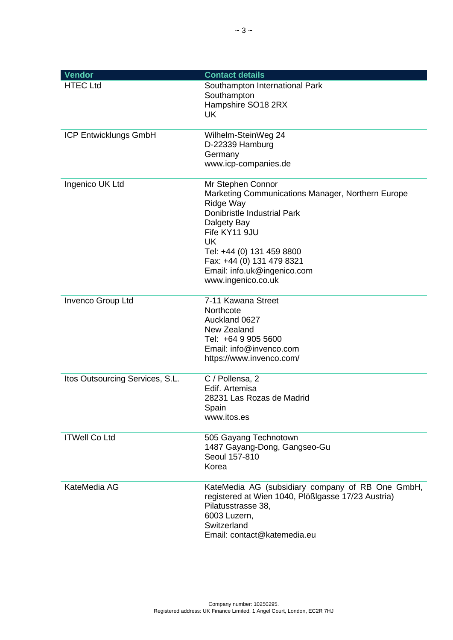| <b>Vendor</b>                   | <b>Contact details</b>                                                                                                                                                                                                                                                                |
|---------------------------------|---------------------------------------------------------------------------------------------------------------------------------------------------------------------------------------------------------------------------------------------------------------------------------------|
| <b>HTEC Ltd</b>                 | Southampton International Park<br>Southampton<br>Hampshire SO18 2RX<br><b>UK</b>                                                                                                                                                                                                      |
| <b>ICP Entwicklungs GmbH</b>    | Wilhelm-SteinWeg 24<br>D-22339 Hamburg<br>Germany<br>www.icp-companies.de                                                                                                                                                                                                             |
| Ingenico UK Ltd                 | Mr Stephen Connor<br>Marketing Communications Manager, Northern Europe<br>Ridge Way<br><b>Donibristle Industrial Park</b><br>Dalgety Bay<br>Fife KY11 9JU<br><b>UK</b><br>Tel: +44 (0) 131 459 8800<br>Fax: +44 (0) 131 479 8321<br>Email: info.uk@ingenico.com<br>www.ingenico.co.uk |
| Invenco Group Ltd               | 7-11 Kawana Street<br>Northcote<br>Auckland 0627<br>New Zealand<br>Tel: +64 9 905 5600<br>Email: info@invenco.com<br>https://www.invenco.com/                                                                                                                                         |
| Itos Outsourcing Services, S.L. | C / Pollensa, 2<br>Edif. Artemisa<br>28231 Las Rozas de Madrid<br>Spain<br>www.itos.es                                                                                                                                                                                                |
| <b>ITWell Co Ltd</b>            | 505 Gayang Technotown<br>1487 Gayang-Dong, Gangseo-Gu<br>Seoul 157-810<br>Korea                                                                                                                                                                                                       |
| KateMedia AG                    | KateMedia AG (subsidiary company of RB One GmbH,<br>registered at Wien 1040, Plößigasse 17/23 Austria)<br>Pilatusstrasse 38,<br>6003 Luzern,<br>Switzerland<br>Email: contact@katemedia.eu                                                                                            |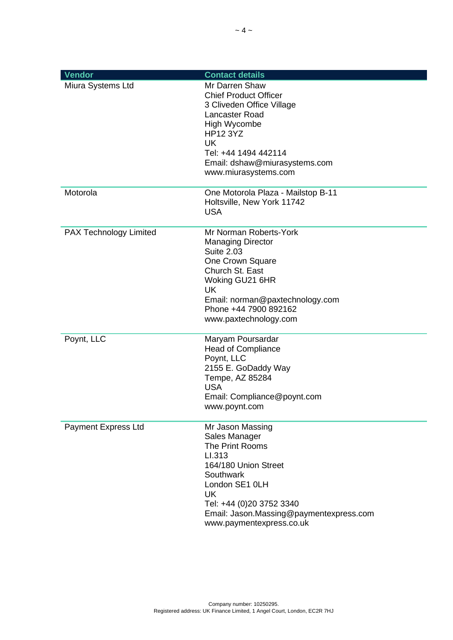| Vendor                 | <b>Contact details</b>                                                                                                                                                                                                                |
|------------------------|---------------------------------------------------------------------------------------------------------------------------------------------------------------------------------------------------------------------------------------|
| Miura Systems Ltd      | Mr Darren Shaw<br><b>Chief Product Officer</b><br>3 Cliveden Office Village<br>Lancaster Road<br>High Wycombe<br><b>HP12 3YZ</b><br><b>UK</b><br>Tel: +44 1494 442114<br>Email: dshaw@miurasystems.com<br>www.miurasystems.com        |
| Motorola               | One Motorola Plaza - Mailstop B-11<br>Holtsville, New York 11742<br><b>USA</b>                                                                                                                                                        |
| PAX Technology Limited | Mr Norman Roberts-York<br><b>Managing Director</b><br><b>Suite 2.03</b><br>One Crown Square<br>Church St. East<br>Woking GU21 6HR<br><b>UK</b><br>Email: norman@paxtechnology.com<br>Phone +44 7900 892162<br>www.paxtechnology.com   |
| Poynt, LLC             | Maryam Poursardar<br><b>Head of Compliance</b><br>Poynt, LLC<br>2155 E. GoDaddy Way<br>Tempe, AZ 85284<br><b>USA</b><br>Email: Compliance@poynt.com<br>www.poynt.com                                                                  |
| Payment Express Ltd    | Mr Jason Massing<br>Sales Manager<br>The Print Rooms<br>LI.313<br>164/180 Union Street<br>Southwark<br>London SE1 0LH<br><b>UK</b><br>Tel: +44 (0)20 3752 3340<br>Email: Jason.Massing@paymentexpress.com<br>www.paymentexpress.co.uk |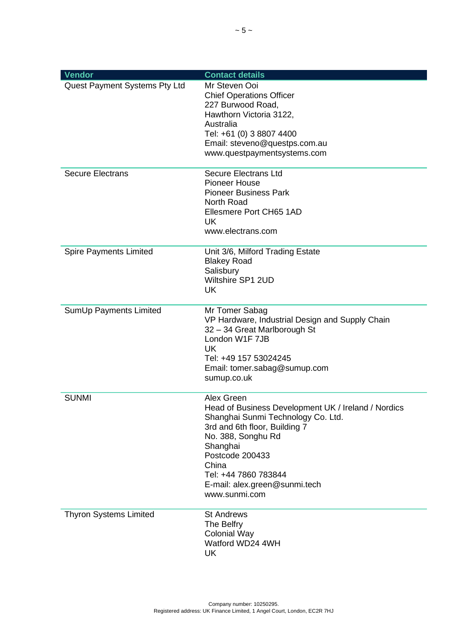| Vendor                        | <b>Contact details</b>                                                                                                                                                                                                                                                           |
|-------------------------------|----------------------------------------------------------------------------------------------------------------------------------------------------------------------------------------------------------------------------------------------------------------------------------|
| Quest Payment Systems Pty Ltd | Mr Steven Ooi<br><b>Chief Operations Officer</b><br>227 Burwood Road,<br>Hawthorn Victoria 3122,<br>Australia<br>Tel: +61 (0) 3 8807 4400<br>Email: steveno@questps.com.au<br>www.questpaymentsystems.com                                                                        |
| <b>Secure Electrans</b>       | <b>Secure Electrans Ltd</b><br><b>Pioneer House</b><br><b>Pioneer Business Park</b><br>North Road<br>Ellesmere Port CH65 1AD<br><b>UK</b><br>www.electrans.com                                                                                                                   |
| <b>Spire Payments Limited</b> | Unit 3/6, Milford Trading Estate<br><b>Blakey Road</b><br>Salisbury<br>Wiltshire SP1 2UD<br><b>UK</b>                                                                                                                                                                            |
| SumUp Payments Limited        | Mr Tomer Sabag<br>VP Hardware, Industrial Design and Supply Chain<br>32 - 34 Great Marlborough St<br>London W1F 7JB<br><b>UK</b><br>Tel: +49 157 53024245<br>Email: tomer.sabag@sumup.com<br>sumup.co.uk                                                                         |
| <b>SUNMI</b>                  | Alex Green<br>Head of Business Development UK / Ireland / Nordics<br>Shanghai Sunmi Technology Co. Ltd.<br>3rd and 6th floor, Building 7<br>No. 388, Songhu Rd<br>Shanghai<br>Postcode 200433<br>China<br>Tel: +44 7860 783844<br>E-mail: alex.green@sunmi.tech<br>www.sunmi.com |
| <b>Thyron Systems Limited</b> | <b>St Andrews</b><br>The Belfry<br><b>Colonial Way</b><br>Watford WD24 4WH<br><b>UK</b>                                                                                                                                                                                          |